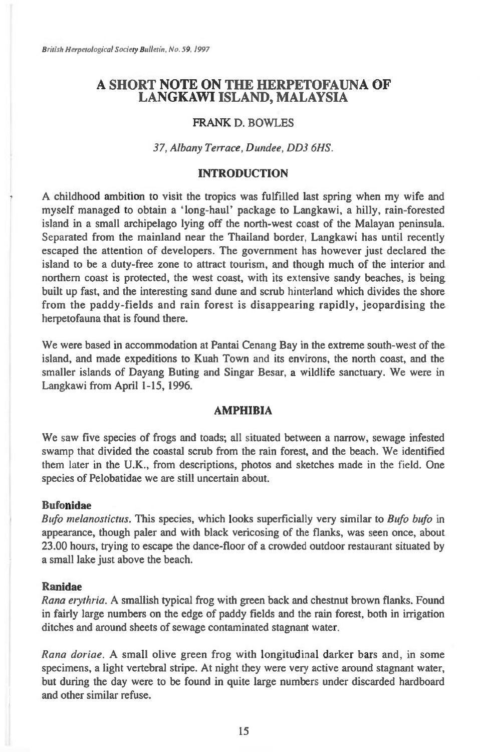British Herpetological Society Bulletin, No. 59, 1997

# **A SHORT NOTE ON THE HERPETOFAUNA OF LANGKAWI ISLAND, MALAYSIA**

## FRANK D. BOWLES

### *37, Albany Terrace, Dundee, DD3 6HS.*

### **INTRODUCTION**

A childhood ambition to visit the tropics was fulfilled last spring when my wife and myself managed to obtain a 'long-haul' package to Langkawi, a hilly, rain-forested island in a small archipelago lying off the north-west coast of the Malayan peninsula. Separated from the mainland near the Thailand border, Langkawi has until recently escaped the attention of developers. The government has however just declared the island to be a duty-free zone to attract tourism, and though much of the interior and northern coast is protected, the west coast, with its extensive sandy beaches, is being built up fast, and the interesting sand dune and scrub hinterland which divides the shore from the paddy-fields and rain forest is disappearing rapidly, jeopardising the herpetofauna that is found there.

We were based in accommodation at Pantai Cenang Bay in the extreme south-west of the island, and made expeditions to Kuah Town and its environs, the north coast, and the smaller islands of Dayang Buting and Singar Besar, a wildlife sanctuary. We were in Langkawi from April 1-15, 1996.

### **AMPHIBIA**

We saw five species of frogs and toads; all situated between a narrow, sewage infested swamp that divided the coastal scrub from the rain forest, and the beach. We identified them later in the U.K., from descriptions, photos and sketches made in the field. One species of Pelobatidae we are still uncertain about.

### **Bufonidae**

*Bufo melanostictus.* This species, which looks superficially very similar to *Bufo bufo* in appearance, though paler and with black vericosing of the flanks, was seen once, about 23.00 hours, trying to escape the dance-floor of a crowded outdoor restaurant situated by a small lake just above the beach.

### **Ranidae**

*Rana erythria.* A smallish typical frog with green back and chestnut brown flanks. Found in fairly large numbers on the edge of paddy fields and the rain forest, both in irrigation ditches and around sheets of sewage contaminated stagnant water.

*Rana doriae.* A small olive green frog with longitudinal darker bars and, in some specimens, a light vertebral stripe. At night they were very active around stagnant water, but during the day were to be found in quite large numbers under discarded hardboard and other similar refuse.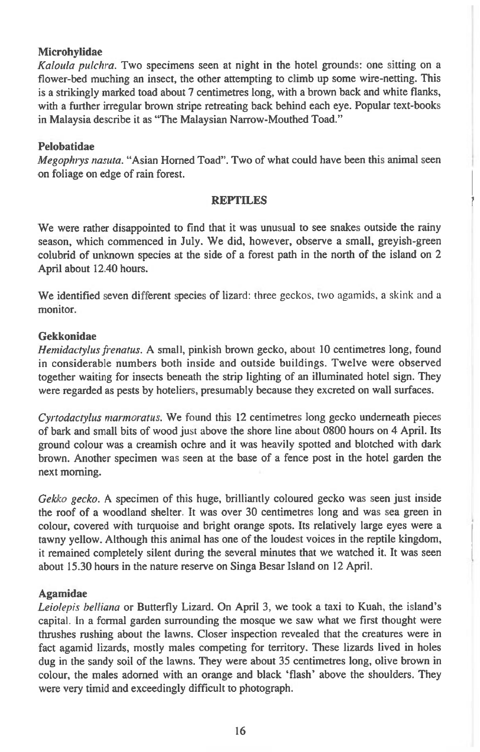## **Microhylidae**

*Kaloula pulchra.* Two specimens seen at night in the hotel grounds: one sitting on a flower-bed muching an insect, the other attempting to climb up some wire-netting. This is a strikingly marked toad about 7 centimetres long, with a brown back and white flanks, with a further irregular brown stripe retreating back behind each eye. Popular text-books in Malaysia describe it as "The Malaysian Narrow-Mouthed Toad."

### **Pelobatidae**

*Megophiys nasuta.* "Asian Horned Toad". Two of what could have been this animal seen on foliage on edge of rain forest.

#### **REPTILES**

We were rather disappointed to find that it was unusual to see snakes outside the rainy season, which commenced in July. We did, however, observe a small, greyish-green colubrid of unknown species at the side of a forest path in the north of the island on 2 April about 12.40 hours.

We identified seven different species of lizard: three geckos, two agamids, a skink and a monitor.

### **Gekkonidae**

*Hemidactylus frenatus.* A small, pinkish brown gecko, about 10 centimetres long, found in considerable numbers both inside and outside buildings. Twelve were observed together waiting for insects beneath the strip lighting of an illuminated hotel sign. They were regarded as pests by hoteliers, presumably because they excreted on wall surfaces.

*Cyrtodactylus marmoratus.* We found this 12 centimetres long gecko underneath pieces of bark and small bits of wood just above the shore line about 0800 hours on 4 April. Its ground colour was a creamish ochre and it was heavily spotted and blotched with dark brown. Another specimen was seen at the base of a fence post in the hotel garden the next morning.

*Gekko gecko.* A specimen of this huge, brilliantly coloured gecko was seen just inside the roof of a woodland shelter. It was over 30 centimetres long and was sea green in colour, covered with turquoise and bright orange spots. Its relatively large eyes were a tawny yellow. Although this animal has one of the loudest voices in the reptile kingdom, it remained completely silent during the several minutes that we watched it. It was seen about 15.30 hours in the nature reserve on Singa Besar Island on 12 April.

#### **Agamidae**

*Leiolepis belliana* or Butterfly Lizard. On April 3, we took a taxi to Kuah, the island's capital. In a formal garden surrounding the mosque we saw what we first thought were thrushes rushing about the lawns. Closer inspection revealed that the creatures were in fact agamid lizards, mostly males competing for territory. These lizards lived in holes dug in the sandy soil of the lawns. They were about 35 centimetres long, olive brown in colour, the males adorned with an orange and black 'flash' above the shoulders. They were very timid and exceedingly difficult to photograph.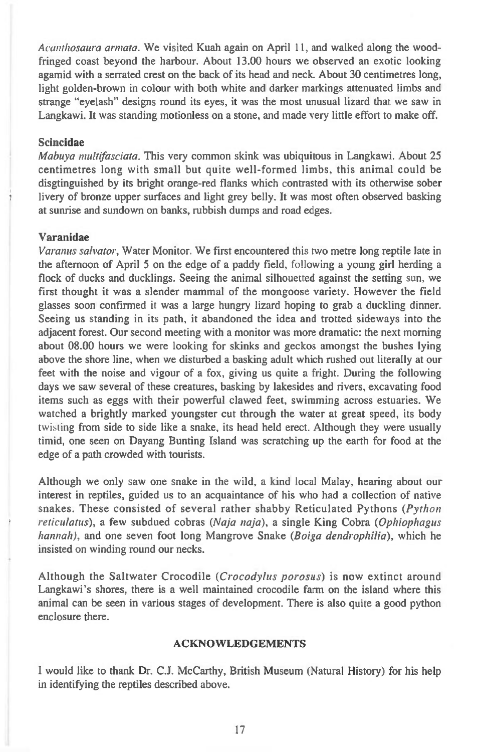*Acanthosaura armata.* We visited Kuah again on April 11, and walked along the woodfringed coast beyond the harbour. About 13.00 hours we observed an exotic looking agamid with a serrated crest on the back of its head and neck. About 30 centimetres long, light golden-brown in colour with both white and darker markings attenuated limbs and strange "eyelash" designs round its eyes, it was the most unusual lizard that we saw in Langkawi. It was standing motionless on a stone, and made very little effort to make off.

#### **Scincidae**

*Mabuya nddfasciata.* This very common skink was ubiquitous in Langkawi. About 25 centimetres long with small but quite well-formed limbs, this animal could be disgtinguished by its bright orange-red flanks which contrasted with its otherwise sober livery of bronze upper surfaces and light grey belly. It was most often observed basking at sunrise and sundown on banks, rubbish dumps and road edges.

### **Varanidae**

*Varanus salvator,* Water Monitor. We first encountered this two metre long reptile late in the afternoon of April 5 on the edge of a paddy field, following a young girl herding a flock of ducks and ducklings. Seeing the animal silhouetted against the setting sun, we first thought it was a slender mammal of the mongoose variety. However the field glasses soon confirmed it was a large hungry lizard hoping to grab a duckling dinner. Seeing us standing in its path, it abandoned the idea and trotted sideways into the adjacent forest. Our second meeting with a monitor was more dramatic: the next morning about 08.00 hours we were looking for skinks and geckos amongst the bushes lying above the shore line, when we disturbed a basking adult which rushed out literally at our feet with the noise and vigour of a fox, giving us quite a fright. During the following days we saw several of these creatures, basking by lakesides and rivers, excavating food items such as eggs with their powerful clawed feet, swimming across estuaries. We watched a brightly marked youngster cut through the water at great speed, its body twisting from side to side like a snake, its head held erect. Although they were usually timid, one seen on Dayang Bunting Island was scratching up the earth for food at the edge of a path crowded with tourists.

Although we only saw one snake in the wild, a kind local Malay, hearing about our interest in reptiles, guided us to an acquaintance of his who had a collection of native snakes. These consisted of several rather shabby Reticulated Pythons *(Python reticulatus),* a few subdued cobras *(Naja naja),* a single King Cobra *(Ophiophagus hannah ),* and one seven foot long Mangrove Snake *(Boiga dendrophilia),* which he insisted on winding round our necks.

Although the Saltwater Crocodile *(Crocodylus porosus)* is now extinct around Langkawi's shores, there is a well maintained crocodile farm on the island where this animal can be seen in various stages of development. There is also quite a good python enclosure there.

## **ACKNOWLEDGEMENTS**

I would like to thank Dr. C.J. McCarthy, British Museum (Natural History) for his help in identifying the reptiles described above.